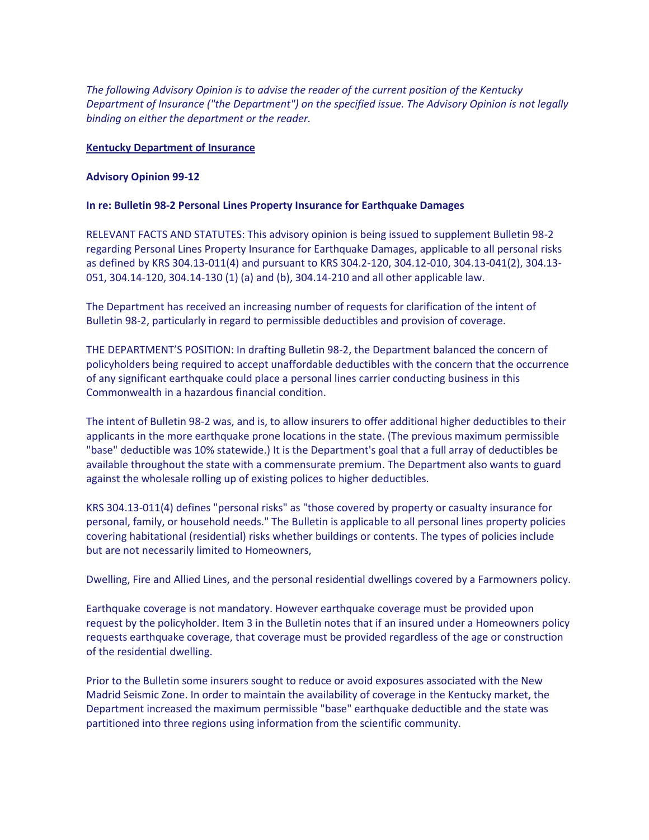*The following Advisory Opinion is to advise the reader of the current position of the Kentucky Department of Insurance ("the Department") on the specified issue. The Advisory Opinion is not legally binding on either the department or the reader.* 

## **Kentucky Department of Insurance**

## **Advisory Opinion 99-12**

## **In re: Bulletin 98-2 Personal Lines Property Insurance for Earthquake Damages**

RELEVANT FACTS AND STATUTES: This advisory opinion is being issued to supplement Bulletin 98-2 regarding Personal Lines Property Insurance for Earthquake Damages, applicable to all personal risks as defined by KRS 304.13-011(4) and pursuant to KRS 304.2-120, 304.12-010, 304.13-041(2), 304.13- 051, 304.14-120, 304.14-130 (1) (a) and (b), 304.14-210 and all other applicable law.

The Department has received an increasing number of requests for clarification of the intent of Bulletin 98-2, particularly in regard to permissible deductibles and provision of coverage.

THE DEPARTMENT'S POSITION: In drafting Bulletin 98-2, the Department balanced the concern of policyholders being required to accept unaffordable deductibles with the concern that the occurrence of any significant earthquake could place a personal lines carrier conducting business in this Commonwealth in a hazardous financial condition.

The intent of Bulletin 98-2 was, and is, to allow insurers to offer additional higher deductibles to their applicants in the more earthquake prone locations in the state. (The previous maximum permissible "base" deductible was 10% statewide.) It is the Department's goal that a full array of deductibles be available throughout the state with a commensurate premium. The Department also wants to guard against the wholesale rolling up of existing polices to higher deductibles.

KRS 304.13-011(4) defines "personal risks" as "those covered by property or casualty insurance for personal, family, or household needs." The Bulletin is applicable to all personal lines property policies covering habitational (residential) risks whether buildings or contents. The types of policies include but are not necessarily limited to Homeowners,

Dwelling, Fire and Allied Lines, and the personal residential dwellings covered by a Farmowners policy.

Earthquake coverage is not mandatory. However earthquake coverage must be provided upon request by the policyholder. Item 3 in the Bulletin notes that if an insured under a Homeowners policy requests earthquake coverage, that coverage must be provided regardless of the age or construction of the residential dwelling.

Prior to the Bulletin some insurers sought to reduce or avoid exposures associated with the New Madrid Seismic Zone. In order to maintain the availability of coverage in the Kentucky market, the Department increased the maximum permissible "base" earthquake deductible and the state was partitioned into three regions using information from the scientific community.